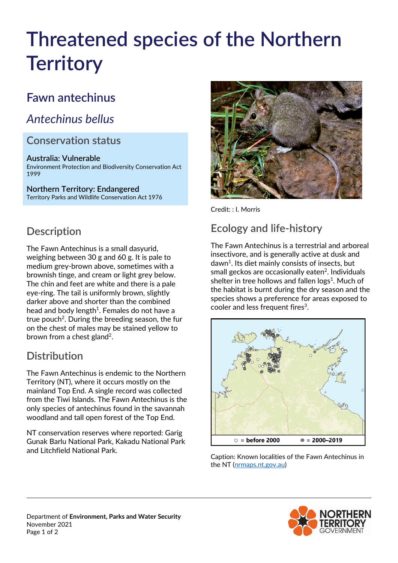# **Threatened species of the Northern Territory**

# **Fawn antechinus**

# *Antechinus bellus*

#### **Conservation status**

**Australia: Vulnerable** Environment Protection and Biodiversity Conservation Act 1999

**Northern Territory: Endangered** Territory Parks and Wildlife Conservation Act 1976



Credit: : I. Morris

### **Ecology and life-history**

The Fawn Antechinus is a terrestrial and arboreal insectivore, and is generally active at dusk and dawn<sup>1</sup>. Its diet mainly consists of insects, but small geckos are occasionally eaten $2$ . Individuals shelter in tree hollows and fallen  $\log<sup>1</sup>$ . Much of the habitat is burnt during the dry season and the species shows a preference for areas exposed to cooler and less frequent fires<sup>3</sup>.



Caption: Known localities of the Fawn Antechinus in the NT [\(nrmaps.nt.gov.au\)](https://nrmaps.nt.gov.au/nrmaps.html)





# **Description**

The Fawn Antechinus is a small dasyurid, weighing between 30 g and 60 g. It is pale to medium grey-brown above, sometimes with a brownish tinge, and cream or light grey below. The chin and feet are white and there is a pale eye-ring. The tail is uniformly brown, slightly darker above and shorter than the combined head and body length $1$ . Females do not have a true pouch<sup>2</sup>. During the breeding season, the fur on the chest of males may be stained yellow to brown from a chest gland<sup>2</sup>.

# **Distribution**

The Fawn Antechinus is endemic to the Northern Territory (NT), where it occurs mostly on the mainland Top End. A single record was collected from the Tiwi Islands. The Fawn Antechinus is the only species of antechinus found in the savannah woodland and tall open forest of the Top End.

NT conservation reserves where reported: Garig Gunak Barlu National Park, Kakadu National Park and Litchfield National Park.